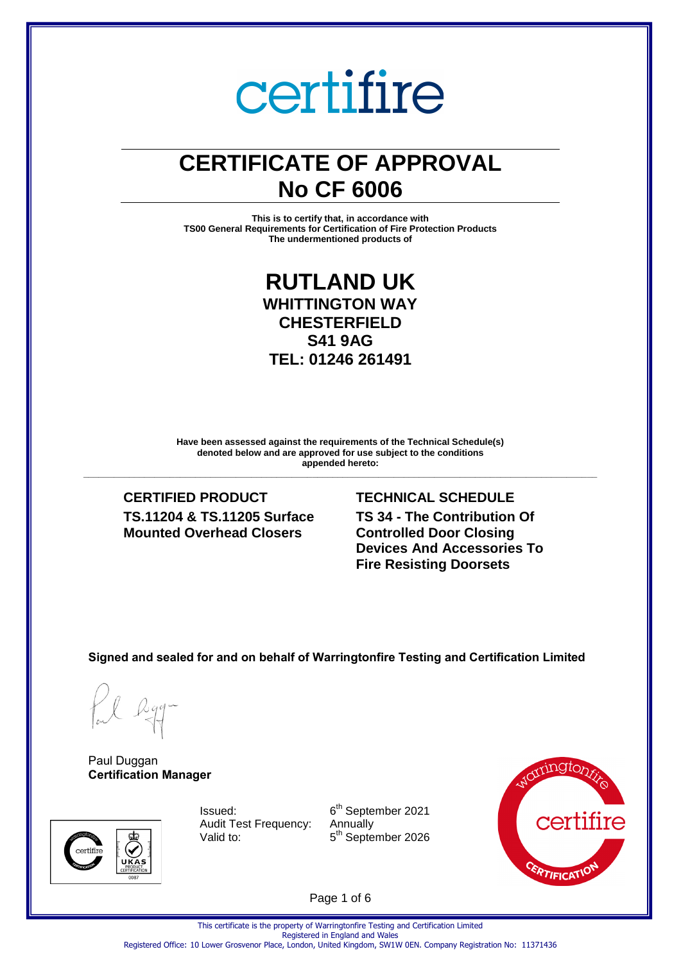## **CERTIFICATE OF APPROVAL No CF 6006**

**This is to certify that, in accordance with TS00 General Requirements for Certification of Fire Protection Products The undermentioned products of**

### **RUTLAND UK WHITTINGTON WAY CHESTERFIELD S41 9AG TEL: 01246 261491**

**Have been assessed against the requirements of the Technical Schedule(s) denoted below and are approved for use subject to the conditions appended hereto:** 

**\_\_\_\_\_\_\_\_\_\_\_\_\_\_\_\_\_\_\_\_\_\_\_\_\_\_\_\_\_\_\_\_\_\_\_\_\_\_\_\_\_\_\_\_\_\_\_\_\_\_\_\_\_\_\_\_\_\_\_\_\_\_\_\_\_\_\_\_\_\_\_\_\_\_\_\_\_\_\_\_\_\_\_\_\_\_\_\_\_\_\_\_\_\_\_\_\_\_\_\_\_**

**CERTIFIED PRODUCT TECHNICAL SCHEDULE TS.11204 & TS.11205 Surface Mounted Overhead Closers** 

### **TS 34 - The Contribution Of Controlled Door Closing Devices And Accessories To Fire Resisting Doorsets**

**Signed and sealed for and on behalf of Warringtonfire Testing and Certification Limited**

Paul Duggan **Certification Manager**



Issued: 6 Audit Test Frequency: Annually Valid to:

6<sup>th</sup> September 2021 5<sup>th</sup> September 2026



Page 1 of 6

This certificate is the property of Warringtonfire Testing and Certification Limited Registered in England and Wales

Registered Office: 10 Lower Grosvenor Place, London, United Kingdom, SW1W 0EN. Company Registration No: 11371436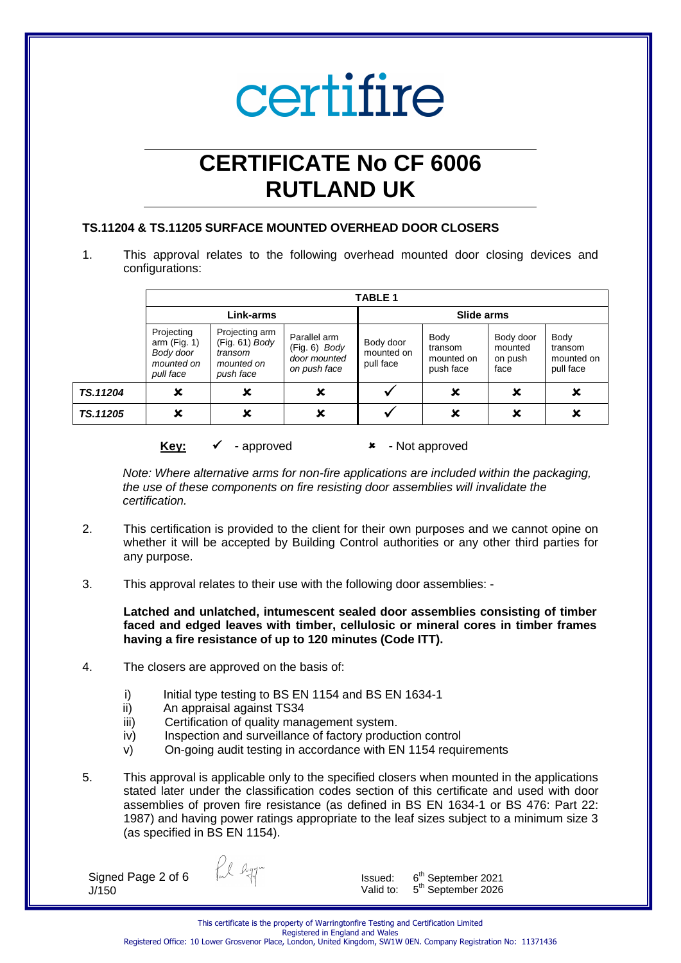## **CERTIFICATE No CF 6006 RUTLAND UK**

### **TS.11204 & TS.11205 SURFACE MOUNTED OVERHEAD DOOR CLOSERS**

1. This approval relates to the following overhead mounted door closing devices and configurations:

|          |                                                                      | <b>TABLE 1</b>                                                           |                                                               |                                      |                                            |                                         |                                            |  |
|----------|----------------------------------------------------------------------|--------------------------------------------------------------------------|---------------------------------------------------------------|--------------------------------------|--------------------------------------------|-----------------------------------------|--------------------------------------------|--|
|          | Link-arms                                                            |                                                                          |                                                               | Slide arms                           |                                            |                                         |                                            |  |
|          | Projecting<br>arm $(Fig. 1)$<br>Body door<br>mounted on<br>pull face | Projecting arm<br>$(Fig. 61)$ Body<br>transom<br>mounted on<br>push face | Parallel arm<br>(Fig. 6) Body<br>door mounted<br>on push face | Body door<br>mounted on<br>pull face | Body<br>transom<br>mounted on<br>push face | Body door<br>mounted<br>on push<br>face | Body<br>transom<br>mounted on<br>pull face |  |
| TS.11204 | x                                                                    | x                                                                        | ×                                                             |                                      | x                                          | x                                       | ×                                          |  |
| TS.11205 | x                                                                    | x                                                                        | x                                                             |                                      | ×                                          | x                                       | x                                          |  |

**Key:** ✓ - approved **\*** - Not approved

*Note: Where alternative arms for non-fire applications are included within the packaging, the use of these components on fire resisting door assemblies will invalidate the certification.* 

- 2. This certification is provided to the client for their own purposes and we cannot opine on whether it will be accepted by Building Control authorities or any other third parties for any purpose.
- 3. This approval relates to their use with the following door assemblies: -

**Latched and unlatched, intumescent sealed door assemblies consisting of timber faced and edged leaves with timber, cellulosic or mineral cores in timber frames having a fire resistance of up to 120 minutes (Code ITT).** 

- 4. The closers are approved on the basis of:
	- i) Initial type testing to BS EN 1154 and BS EN 1634-1
	- ii) An appraisal against TS34
	- iii) Certification of quality management system.
	- iv) Inspection and surveillance of factory production control
	- v) On-going audit testing in accordance with EN 1154 requirements
- 5. This approval is applicable only to the specified closers when mounted in the applications stated later under the classification codes section of this certificate and used with door assemblies of proven fire resistance (as defined in BS EN 1634-1 or BS 476: Part 22: 1987) and having power ratings appropriate to the leaf sizes subject to a minimum size 3 (as specified in BS EN 1154).

Signed Page 2 of 6 J/150

for ligg-

Issued: 6 6<sup>th</sup> September 2021 Valid to: 5<sup>th</sup> September 2026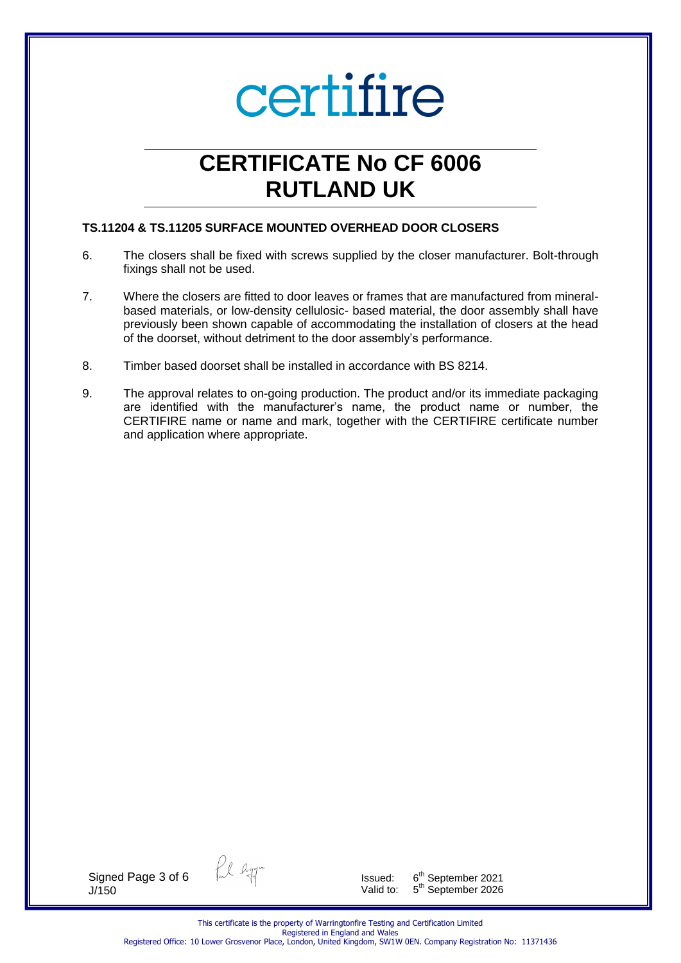## **CERTIFICATE No CF 6006 RUTLAND UK**

#### **TS.11204 & TS.11205 SURFACE MOUNTED OVERHEAD DOOR CLOSERS**

- 6. The closers shall be fixed with screws supplied by the closer manufacturer. Bolt-through fixings shall not be used.
- 7. Where the closers are fitted to door leaves or frames that are manufactured from mineralbased materials, or low-density cellulosic- based material, the door assembly shall have previously been shown capable of accommodating the installation of closers at the head of the doorset, without detriment to the door assembly's performance.
- 8. Timber based doorset shall be installed in accordance with BS 8214.
- 9. The approval relates to on-going production. The product and/or its immediate packaging are identified with the manufacturer's name, the product name or number, the CERTIFIRE name or name and mark, together with the CERTIFIRE certificate number and application where appropriate.

Signed Page 3 of 6 J/150

Pul Ryg-

Issued: 6 6<sup>th</sup> September 2021 Valid to: 5<sup>th</sup> September 2026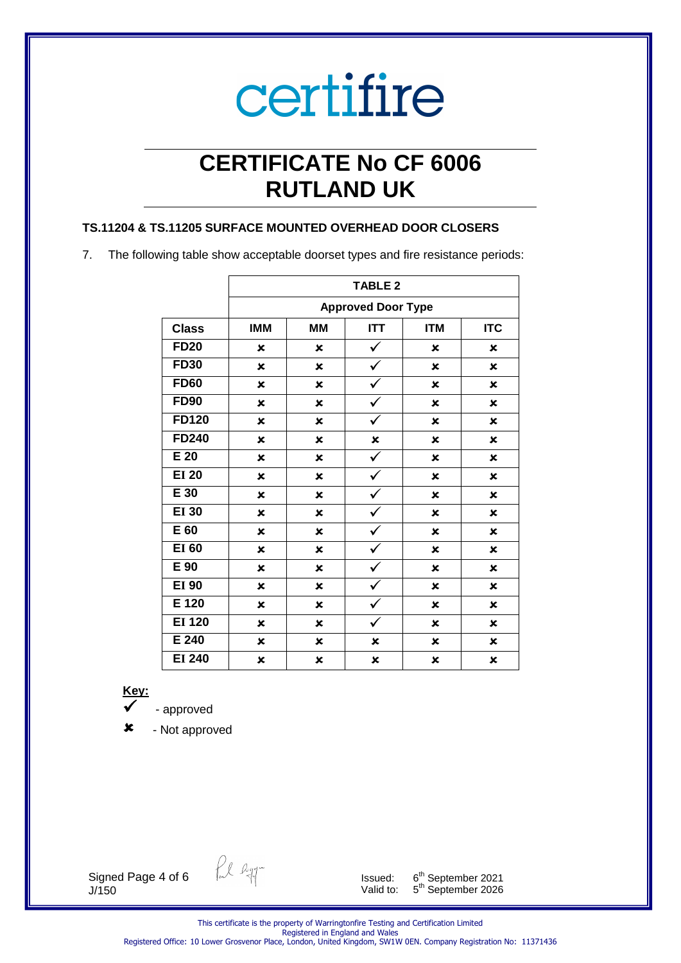## **CERTIFICATE No CF 6006 RUTLAND UK**

#### **TS.11204 & TS.11205 SURFACE MOUNTED OVERHEAD DOOR CLOSERS**

7. The following table show acceptable doorset types and fire resistance periods:

|                  | <b>TABLE 2</b>            |                           |              |                           |                           |  |
|------------------|---------------------------|---------------------------|--------------|---------------------------|---------------------------|--|
|                  | <b>Approved Door Type</b> |                           |              |                           |                           |  |
| <b>Class</b>     | <b>IMM</b>                | <b>MM</b>                 | <b>ITT</b>   | <b>ITM</b>                | <b>ITC</b>                |  |
| <b>FD20</b>      | ×                         | $\boldsymbol{\mathsf{x}}$ | $\checkmark$ | $\boldsymbol{\mathsf{x}}$ | $\mathbf x$               |  |
| <b>FD30</b>      | ×                         | ×                         | $\checkmark$ | ×                         | $\mathbf x$               |  |
| <b>FD60</b>      | ×                         | $\mathbf x$               | ✓            | $\mathbf x$               | $\mathbf x$               |  |
| <b>FD90</b>      | $\mathbf x$               | $\mathbf x$               | ✓            | $\mathbf x$               | $\mathbf x$               |  |
| <b>FD120</b>     | $\boldsymbol{\mathsf{x}}$ | $\boldsymbol{\mathsf{x}}$ | $\checkmark$ | $\boldsymbol{\mathsf{x}}$ | $\mathbf x$               |  |
| <b>FD240</b>     | ×                         | ×                         | $\mathbf x$  | ×                         | ×                         |  |
| E 20             | $\mathbf x$               | $\boldsymbol{\mathsf{x}}$ | $\checkmark$ | ×                         | $\boldsymbol{\mathsf{x}}$ |  |
| <b>EI 20</b>     | ×                         | $\mathbf x$               | $\checkmark$ | ×                         | $\mathbf x$               |  |
| E 30             | $\boldsymbol{\mathsf{x}}$ | $\mathbf x$               | $\checkmark$ | $\boldsymbol{\mathsf{x}}$ | $\boldsymbol{\mathsf{x}}$ |  |
| <b>EI 30</b>     | ×                         | ×                         | $\checkmark$ | ×                         | $\boldsymbol{\mathsf{x}}$ |  |
| E 60             | $\boldsymbol{\mathsf{x}}$ | $\mathbf x$               | ✓            | $\mathbf x$               | $\boldsymbol{\mathsf{x}}$ |  |
| EI <sub>60</sub> | ×                         | ×                         | $\checkmark$ | ×                         | $\mathbf x$               |  |
| E 90             | ×                         | ×                         | $\checkmark$ | $\mathbf x$               | $\boldsymbol{\mathsf{x}}$ |  |
| <b>EI 90</b>     | ×                         | ×                         | $\checkmark$ | ×                         | $\mathbf x$               |  |
| E 120            | ×                         | ×                         | ✓            | ×                         | $\mathbf x$               |  |
| <b>EI 120</b>    | ×                         | ×                         | $\checkmark$ | ×                         | $\mathbf x$               |  |
| E 240            | $\mathbf x$               | ×                         | $\mathbf x$  | ×                         | $\mathbf x$               |  |
| <b>EI 240</b>    | $\mathbf x$               | $\mathbf x$               | $\mathbf x$  | $\mathbf x$               | $\boldsymbol{\mathsf{x}}$ |  |

**Key:** 

- approved

- Not approved

Signed Page 4 of 6 J/150

Pl ligg

Issued: 6 6<sup>th</sup> September 2021 Valid to:  $5<sup>th</sup>$  September 2026

This certificate is the property of Warringtonfire Testing and Certification Limited Registered in England and Wales Registered Office: 10 Lower Grosvenor Place, London, United Kingdom, SW1W 0EN. Company Registration No: 11371436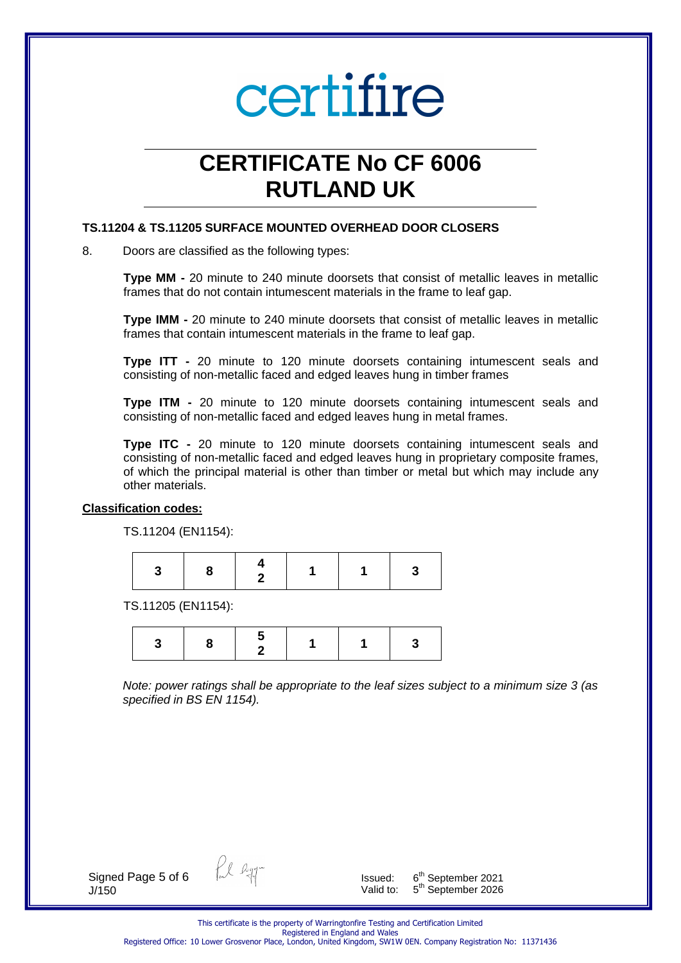## **CERTIFICATE No CF 6006 RUTLAND UK**

#### **TS.11204 & TS.11205 SURFACE MOUNTED OVERHEAD DOOR CLOSERS**

8. Doors are classified as the following types:

**Type MM -** 20 minute to 240 minute doorsets that consist of metallic leaves in metallic frames that do not contain intumescent materials in the frame to leaf gap.

**Type IMM -** 20 minute to 240 minute doorsets that consist of metallic leaves in metallic frames that contain intumescent materials in the frame to leaf gap.

**Type ITT -** 20 minute to 120 minute doorsets containing intumescent seals and consisting of non-metallic faced and edged leaves hung in timber frames

**Type ITM -** 20 minute to 120 minute doorsets containing intumescent seals and consisting of non-metallic faced and edged leaves hung in metal frames.

**Type ITC -** 20 minute to 120 minute doorsets containing intumescent seals and consisting of non-metallic faced and edged leaves hung in proprietary composite frames, of which the principal material is other than timber or metal but which may include any other materials.

#### **Classification codes:**

TS.11204 (EN1154):

|--|--|--|--|

TS.11205 (EN1154):

|--|--|--|--|--|

*Note: power ratings shall be appropriate to the leaf sizes subject to a minimum size 3 (as specified in BS EN 1154).* 

Signed Page 5 of 6 J/150